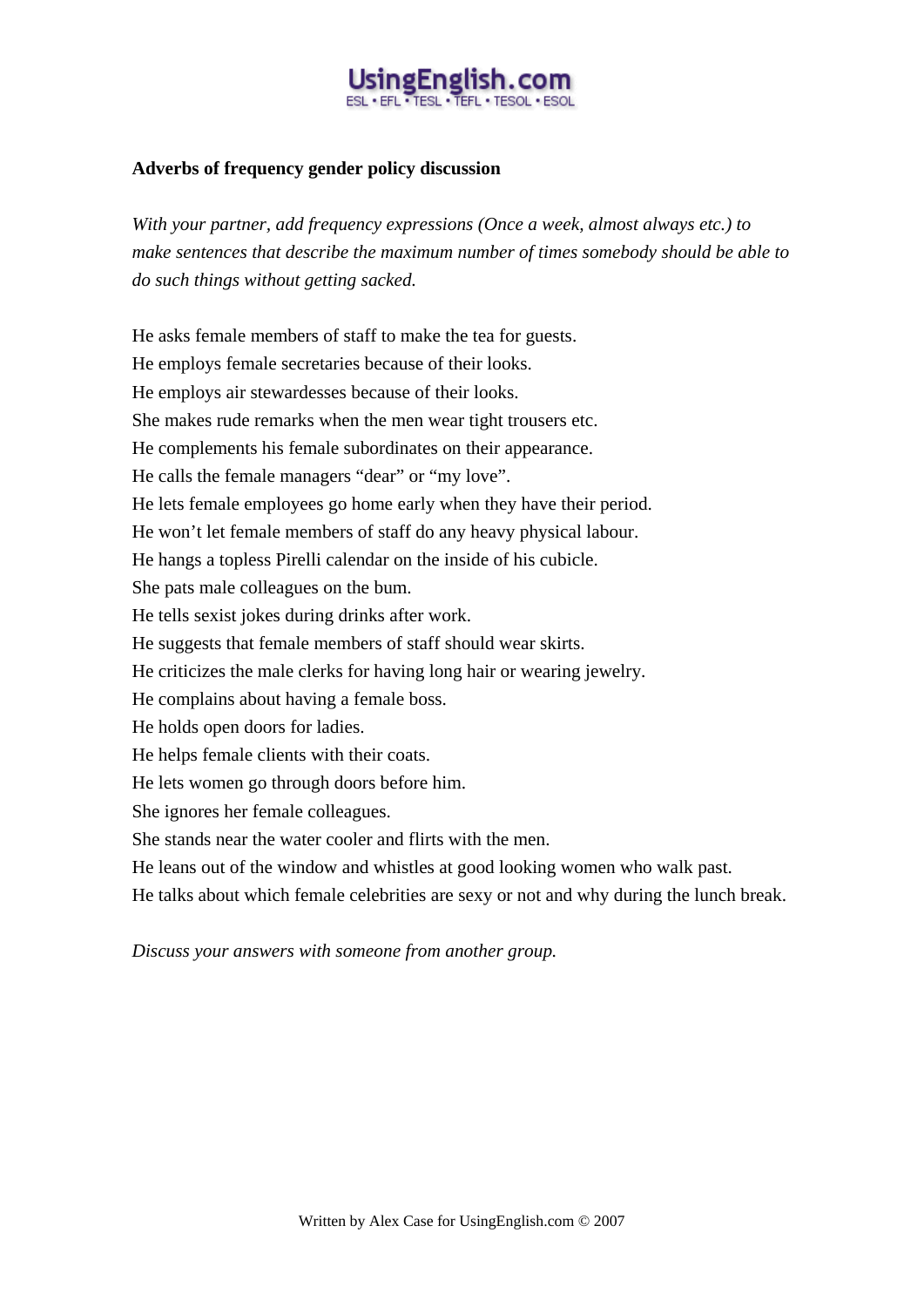# ingEnglish.co

#### **Adverbs of frequency gender policy discussion**

*With your partner, add frequency expressions (Once a week, almost always etc.) to make sentences that describe the maximum number of times somebody should be able to do such things without getting sacked.* 

He asks female members of staff to make the tea for guests. He employs female secretaries because of their looks. He employs air stewardesses because of their looks. She makes rude remarks when the men wear tight trousers etc. He complements his female subordinates on their appearance. He calls the female managers "dear" or "my love". He lets female employees go home early when they have their period. He won't let female members of staff do any heavy physical labour. He hangs a topless Pirelli calendar on the inside of his cubicle. She pats male colleagues on the bum. He tells sexist jokes during drinks after work. He suggests that female members of staff should wear skirts. He criticizes the male clerks for having long hair or wearing jewelry. He complains about having a female boss. He holds open doors for ladies. He helps female clients with their coats. He lets women go through doors before him. She ignores her female colleagues. She stands near the water cooler and flirts with the men. He leans out of the window and whistles at good looking women who walk past. He talks about which female celebrities are sexy or not and why during the lunch break.

*Discuss your answers with someone from another group.*